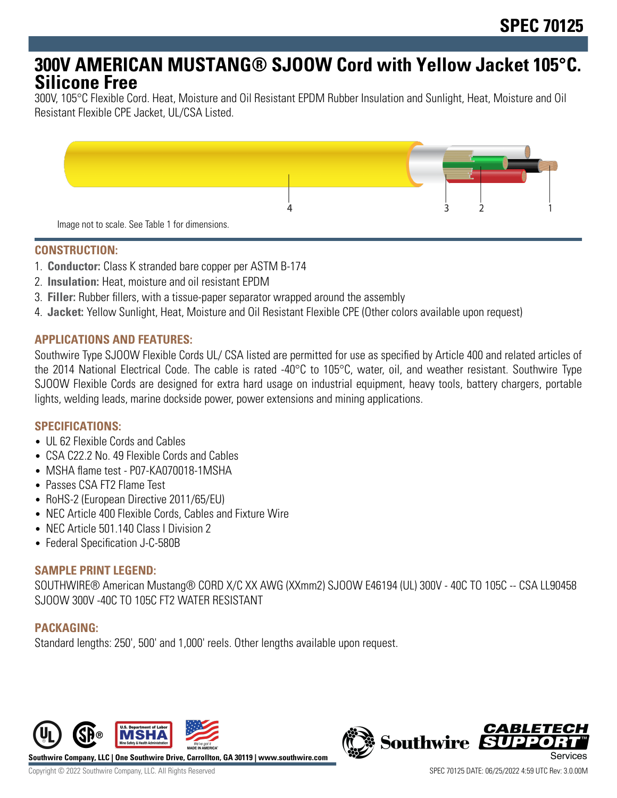# **300V AMERICAN MUSTANG® SJOOW Cord with Yellow Jacket 105°C. Silicone Free**

300V, 105°C Flexible Cord. Heat, Moisture and Oil Resistant EPDM Rubber Insulation and Sunlight, Heat, Moisture and Oil Resistant Flexible CPE Jacket, UL/CSA Listed.



#### **CONSTRUCTION:**

- 1. **Conductor:** Class K stranded bare copper per ASTM B-174
- 2. **Insulation:** Heat, moisture and oil resistant EPDM
- 3. **Filler:** Rubber fillers, with a tissue-paper separator wrapped around the assembly
- 4. **Jacket:** Yellow Sunlight, Heat, Moisture and Oil Resistant Flexible CPE (Other colors available upon request)

#### **APPLICATIONS AND FEATURES:**

Southwire Type SJOOW Flexible Cords UL/ CSA listed are permitted for use as specified by Article 400 and related articles of the 2014 National Electrical Code. The cable is rated -40°C to 105°C, water, oil, and weather resistant. Southwire Type SJOOW Flexible Cords are designed for extra hard usage on industrial equipment, heavy tools, battery chargers, portable lights, welding leads, marine dockside power, power extensions and mining applications.

## **SPECIFICATIONS:**

- UL 62 Flexible Cords and Cables
- CSA C22.2 No. 49 Flexible Cords and Cables
- MSHA flame test P07-KA070018-1MSHA
- Passes CSA FT2 Flame Test
- RoHS-2 (European Directive 2011/65/EU)
- NEC Article 400 Flexible Cords, Cables and Fixture Wire
- NEC Article 501.140 Class | Division 2
- Federal Specification J-C-580B

## **SAMPLE PRINT LEGEND:**

SOUTHWIRE® American Mustang® CORD X/C XX AWG (XXmm2) SJOOW E46194 (UL) 300V - 40C TO 105C -- CSA LL90458 SJOOW 300V -40C TO 105C FT2 WATER RESISTANT

## **PACKAGING:**

Standard lengths: 250', 500' and 1,000' reels. Other lengths available upon request.



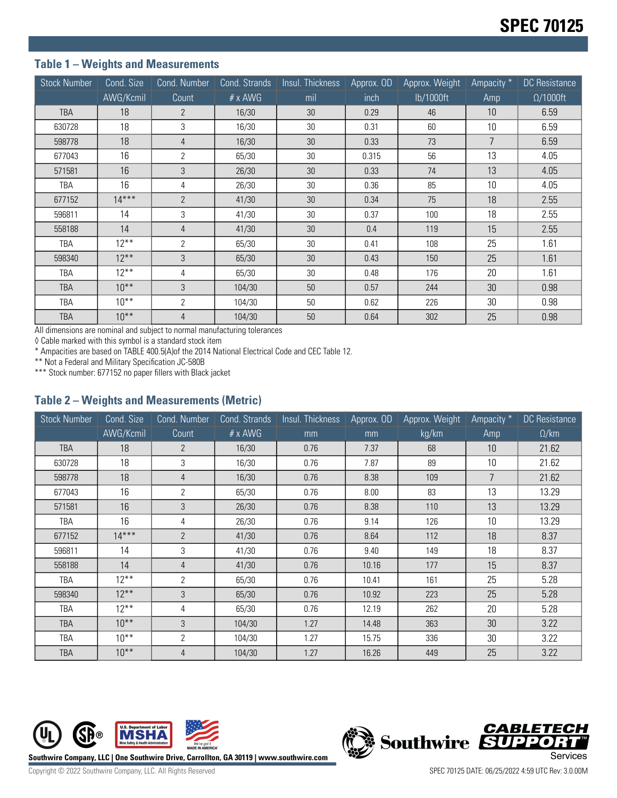## **Table 1 – Weights and Measurements**

| <b>Stock Number</b> | Cond. Size | Cond. Number   | Cond. Strands  | Insul. Thickness | Approx. OD | Approx. Weight | Ampacity <sup>*</sup> | <b>DC</b> Resistance |
|---------------------|------------|----------------|----------------|------------------|------------|----------------|-----------------------|----------------------|
|                     | AWG/Kcmil  | Count          | $# \times$ AWG | mil              | inch       | lb/1000ft      | Amp                   | $\Omega/1000$ ft     |
| TBA                 | 18         | $\overline{2}$ | 16/30          | 30               | 0.29       | 46             | 10                    | 6.59                 |
| 630728              | 18         | 3              | 16/30          | 30               | 0.31       | 60             | 10                    | 6.59                 |
| 598778              | 18         | $\overline{4}$ | 16/30          | 30               | 0.33       | 73             | $\overline{7}$        | 6.59                 |
| 677043              | 16         | $\overline{2}$ | 65/30          | 30               | 0.315      | 56             | 13                    | 4.05                 |
| 571581              | 16         | 3              | 26/30          | 30               | 0.33       | 74             | 13                    | 4.05                 |
| TBA                 | 16         | 4              | 26/30          | 30               | 0.36       | 85             | 10                    | 4.05                 |
| 677152              | $14***$    | $\overline{2}$ | 41/30          | 30               | 0.34       | 75             | 18                    | 2.55                 |
| 596811              | 14         | 3              | 41/30          | 30               | 0.37       | 100            | 18                    | 2.55                 |
| 558188              | 14         | $\overline{4}$ | 41/30          | 30               | 0.4        | 119            | 15                    | 2.55                 |
| TBA                 | $12***$    | $\overline{2}$ | 65/30          | 30               | 0.41       | 108            | 25                    | 1.61                 |
| 598340              | $12***$    | 3              | 65/30          | 30               | 0.43       | 150            | 25                    | 1.61                 |
| TBA                 | $12***$    | 4              | 65/30          | 30               | 0.48       | 176            | 20                    | 1.61                 |
| <b>TBA</b>          | $10***$    | 3              | 104/30         | 50               | 0.57       | 244            | 30                    | 0.98                 |
| TBA                 | $10***$    | 2              | 104/30         | 50               | 0.62       | 226            | 30                    | 0.98                 |
| <b>TBA</b>          | $10***$    | $\overline{4}$ | 104/30         | 50               | 0.64       | 302            | 25                    | 0.98                 |

All dimensions are nominal and subject to normal manufacturing tolerances

◊ Cable marked with this symbol is a standard stock item

\* Ampacities are based on TABLE 400.5(A)of the 2014 National Electrical Code and CEC Table 12.

\*\* Not a Federal and Military Specification JC-580B

\*\*\* Stock number: 677152 no paper fillers with Black jacket

#### **Table 2 – Weights and Measurements (Metric)**

| <b>Stock Number</b> | Cond. Size | Cond. Number   | Cond. Strands  | Insul. Thickness | Approx. OD | Approx. Weight | Ampacity * | DC Resistance |
|---------------------|------------|----------------|----------------|------------------|------------|----------------|------------|---------------|
|                     | AWG/Kcmil  | Count          | $# \times$ AWG | mm               | mm         | kg/km          | Amp        | $\Omega$ /km  |
| <b>TBA</b>          | 18         | $\overline{2}$ | 16/30          | 0.76             | 7.37       | 68             | 10         | 21.62         |
| 630728              | 18         | 3              | 16/30          | 0.76             | 7.87       | 89             | 10         | 21.62         |
| 598778              | 18         | $\overline{4}$ | 16/30          | 0.76             | 8.38       | 109            | 7          | 21.62         |
| 677043              | 16         | $\overline{2}$ | 65/30          | 0.76             | 8.00       | 83             | 13         | 13.29         |
| 571581              | 16         | 3              | 26/30          | 0.76             | 8.38       | 110            | 13         | 13.29         |
| TBA                 | 16         | 4              | 26/30          | 0.76             | 9.14       | 126            | 10         | 13.29         |
| 677152              | $14***$    | $\overline{2}$ | 41/30          | 0.76             | 8.64       | 112            | 18         | 8.37          |
| 596811              | 14         | 3              | 41/30          | 0.76             | 9.40       | 149            | 18         | 8.37          |
| 558188              | 14         | $\overline{4}$ | 41/30          | 0.76             | 10.16      | 177            | 15         | 8.37          |
| TBA                 | $12***$    | 2              | 65/30          | 0.76             | 10.41      | 161            | 25         | 5.28          |
| 598340              | $12***$    | 3              | 65/30          | 0.76             | 10.92      | 223            | 25         | 5.28          |
| TBA                 | $12***$    | 4              | 65/30          | 0.76             | 12.19      | 262            | 20         | 5.28          |
| <b>TBA</b>          | $10***$    | 3              | 104/30         | 1.27             | 14.48      | 363            | 30         | 3.22          |
| TBA                 | $10***$    | $\overline{2}$ | 104/30         | 1.27             | 15.75      | 336            | 30         | 3.22          |
| <b>TBA</b>          | $10***$    | $\overline{4}$ | 104/30         | 1.27             | 16.26      | 449            | 25         | 3.22          |